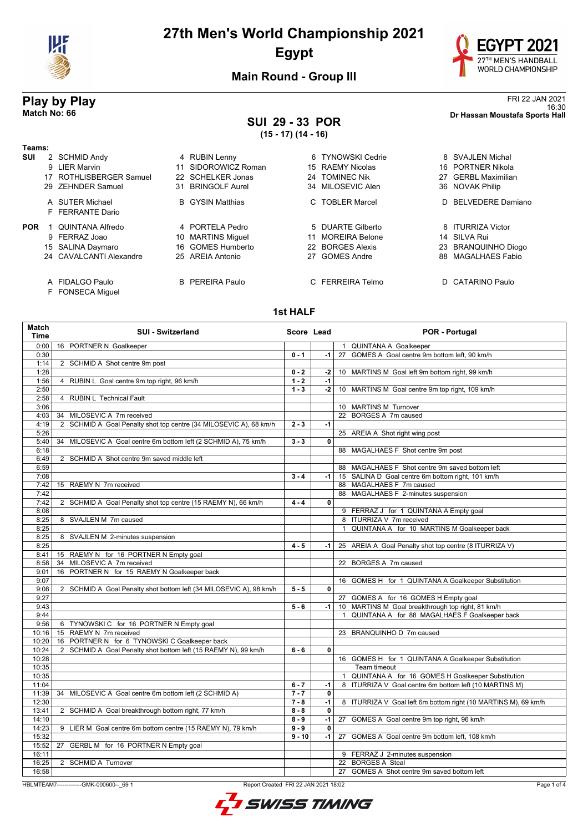



**Main Round - Group III**

### **SUI 29 - 33 POR (15 - 17) (14 - 16)**

FRI 22 JAN 2021<br><sup>16:30</sup><br>Dr Hassan Moustafa Sports Hall 16:30 **Match No: 66 Dr Hassan Moustafa Sports Hall**

#### **Teams: SUI** 2 SCHMID Andy **4 RUBIN Lenny 6 TYNOWSKI Cedrie** 8 SVAJLEN Michal<br>9 LIER Marvin **11 SIDOROWICZ Roman** 15 RAEMY Nicolas 16 PORTNER Nikola 11 SIDOROWICZ Roman 17 ROTHLISBERGER Samuel 22 SCHELKER Jonas 24 TOMINEC Nik 27 GERBL Maximilian 29 ZEHNDER Samuel 31 BRINGOLF Aurel 34 MILOSEVIC Alen 36 NOVAK Philip A SUTER Michael **B** GYSIN Matthias **C TOBLER Marcel** D BELVEDERE Damiano F FERRANTE Dario **POR** 1 QUINTANA Alfredo 4 PORTELA Pedro 5 DUARTE Gilberto 8 ITURRIZA Victor 9 FERRAZ Joao 10 MARTINS Miguel 11 MOREIRA Belone 14 SILVA Rui 15 SALINA Daymaro 16 GOMES Humberto 22 BORGES Alexis 23 BRANQUINHO Diogo 24 CAVALCANTI Alexandre A FIDALGO Paulo B PEREIRA Paulo C FERREIRA Telmo D CATARINO Paulo

F FONSECA Miguel

#### **1st HALF**

| Match<br><b>Time</b> | <b>SUI - Switzerland</b>                                           | Score Lead |                         | <b>POR - Portugal</b>                                             |
|----------------------|--------------------------------------------------------------------|------------|-------------------------|-------------------------------------------------------------------|
| 0:00                 | 16 PORTNER N Goalkeeper                                            |            |                         | 1 QUINTANA A Goalkeeper                                           |
| 0:30                 |                                                                    | $0 - 1$    | -1                      | GOMES A Goal centre 9m bottom left, 90 km/h<br>27                 |
| 1:14                 | 2 SCHMID A Shot centre 9m post                                     |            |                         |                                                                   |
| 1:28                 |                                                                    | $0 - 2$    | $-2$                    | 10 MARTINS M Goal left 9m bottom right, 99 km/h                   |
| 1:56                 | 4 RUBIN L Goal centre 9m top right, 96 km/h                        | $1 - 2$    | -1                      |                                                                   |
| 2:50                 |                                                                    | $1 - 3$    | $-2$                    | 10 MARTINS M Goal centre 9m top right, 109 km/h                   |
| 2:58                 | 4 RUBIN L Technical Fault                                          |            |                         |                                                                   |
| 3:06                 |                                                                    |            |                         | 10 MARTINS M Turnover                                             |
| 4:03                 | MILOSEVIC A 7m received<br>34                                      |            |                         | 22 BORGES A 7m caused                                             |
| 4:19                 | 2 SCHMID A Goal Penalty shot top centre (34 MILOSEVIC A), 68 km/h  | $2 - 3$    | $-1$                    |                                                                   |
| 5:26                 |                                                                    |            |                         | 25 AREIA A Shot right wing post                                   |
| 5:40                 | MILOSEVIC A Goal centre 6m bottom left (2 SCHMID A), 75 km/h<br>34 | $3 - 3$    | 0                       |                                                                   |
| 6:18                 |                                                                    |            |                         | 88 MAGALHAES F Shot centre 9m post                                |
| 6:49                 | 2 SCHMID A Shot centre 9m saved middle left                        |            |                         |                                                                   |
| 6:59                 |                                                                    |            |                         | 88 MAGALHAES F Shot centre 9m saved bottom left                   |
| 7:08                 |                                                                    | $3 - 4$    | $-1$                    | 15 SALINA D Goal centre 6m bottom right, 101 km/h                 |
| 7:42                 | 15 RAEMY N 7m received                                             |            |                         | 88 MAGALHAES F 7m caused                                          |
| 7:42                 |                                                                    |            |                         | 88 MAGALHAES F 2-minutes suspension                               |
| 7:42                 | 2 SCHMID A Goal Penalty shot top centre (15 RAEMY N), 66 km/h      | $4 - 4$    | $\mathbf{0}$            |                                                                   |
| 8:08                 |                                                                    |            |                         | 9 FERRAZ J for 1 QUINTANA A Empty goal                            |
| 8:25                 | 8 SVAJLEN M 7m caused                                              |            |                         | 8 ITURRIZA V 7m received                                          |
| 8:25                 |                                                                    |            |                         | QUINTANA A for 10 MARTINS M Goalkeeper back<br>$\mathbf{1}$       |
| 8:25                 | 8 SVAJLEN M 2-minutes suspension                                   |            |                         |                                                                   |
| 8:25                 |                                                                    | $4 - 5$    | -1                      | 25 AREIA A Goal Penalty shot top centre (8 ITURRIZA V)            |
| 8:41                 | 15 RAEMY N for 16 PORTNER N Empty goal                             |            |                         |                                                                   |
| 8:58                 | 34 MILOSEVIC A 7m received                                         |            |                         | 22 BORGES A 7m caused                                             |
| 9:01                 | 16 PORTNER N for 15 RAEMY N Goalkeeper back                        |            |                         |                                                                   |
| 9:07                 |                                                                    |            |                         | 16 GOMES H for 1 QUINTANA A Goalkeeper Substitution               |
| 9:08                 | 2 SCHMID A Goal Penalty shot bottom left (34 MILOSEVIC A), 98 km/h | $5 - 5$    | $\mathbf 0$             |                                                                   |
| 9:27                 |                                                                    |            |                         | 27 GOMES A for 16 GOMES H Empty goal                              |
| 9:43                 |                                                                    | $5 - 6$    | -1                      | 10 MARTINS M Goal breakthrough top right, 81 km/h                 |
| 9:44                 |                                                                    |            |                         | QUINTANA A for 88 MAGALHAES F Goalkeeper back<br>$\mathbf{1}$     |
| 9:56                 | 6 TYNOWSKI C for 16 PORTNER N Empty goal                           |            |                         |                                                                   |
| 10:16                | 15 RAEMY N 7m received                                             |            |                         | 23 BRANQUINHO D 7m caused                                         |
| 10:20                | 16 PORTNER N for 6 TYNOWSKI C Goalkeeper back                      |            |                         |                                                                   |
| 10:24                | 2 SCHMID A Goal Penalty shot bottom left (15 RAEMY N), 99 km/h     | $6 - 6$    | $\overline{\mathbf{0}}$ |                                                                   |
| 10:28                |                                                                    |            |                         | 16 GOMES H for 1 QUINTANA A Goalkeeper Substitution               |
| 10:35                |                                                                    |            |                         | <b>Team timeout</b>                                               |
| 10:35                |                                                                    |            |                         | QUINTANA A for 16 GOMES H Goalkeeper Substitution<br>$\mathbf{1}$ |
| 11:04                |                                                                    | $6 - 7$    | -1                      | 8 ITURRIZA V Goal centre 6m bottom left (10 MARTINS M)            |
| 11:39                | MILOSEVIC A Goal centre 6m bottom left (2 SCHMID A)<br>34          | $7 - 7$    | 0                       |                                                                   |
| 12:30                |                                                                    | $7 - 8$    | $-1$                    | 8 ITURRIZA V Goal left 6m bottom right (10 MARTINS M), 69 km/h    |
| 13:41                | 2 SCHMID A Goal breakthrough bottom right, 77 km/h                 | $8 - 8$    | $\mathbf{0}$            |                                                                   |
| 14:10                |                                                                    | $8 - 9$    | $-1$                    | 27 GOMES A Goal centre 9m top right, 96 km/h                      |
| 14:23                | 9 LIER M Goal centre 6m bottom centre (15 RAEMY N), 79 km/h        | $9 - 9$    | $\overline{\mathbf{0}}$ |                                                                   |
| 15:32                |                                                                    | $9 - 10$   | $-1$                    | 27 GOMES A Goal centre 9m bottom left, 108 km/h                   |
| 15:52                | GERBL M for 16 PORTNER N Empty goal<br>27                          |            |                         |                                                                   |
| 16:11                |                                                                    |            |                         | 9 FERRAZ J 2-minutes suspension                                   |
| 16:25                | 2 SCHMID A Turnover                                                |            |                         | 22 BORGES A Steal                                                 |
| 16:58                |                                                                    |            |                         | 27 GOMES A Shot centre 9m saved bottom left                       |
|                      |                                                                    |            |                         |                                                                   |

HBLMTEAM7-------------GMK-000600--\_69 1 Report Created FRI 22 JAN 2021 18:02

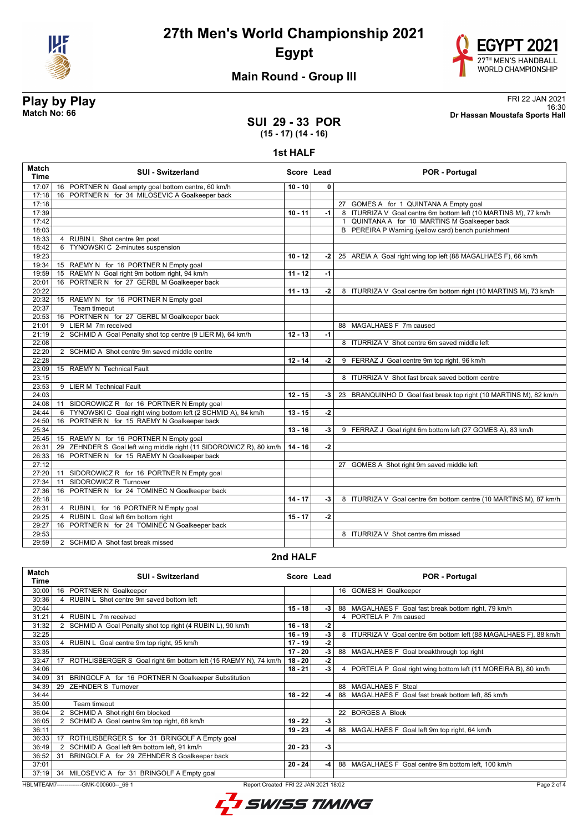



## **Main Round - Group III**

## **SUI 29 - 33 POR (15 - 17) (14 - 16)**

**1st HALF**

| <b>Match</b><br><b>Time</b> | <b>SUI - Switzerland</b>                                            | Score Lead |              | <b>POR - Portugal</b>                                             |
|-----------------------------|---------------------------------------------------------------------|------------|--------------|-------------------------------------------------------------------|
| 17:07                       | 16 PORTNER N Goal empty goal bottom centre, 60 km/h                 | $10 - 10$  | $\mathbf{0}$ |                                                                   |
| 17:18                       | 16 PORTNER N for 34 MILOSEVIC A Goalkeeper back                     |            |              |                                                                   |
| 17:18                       |                                                                     |            |              | 27 GOMES A for 1 QUINTANA A Empty goal                            |
| 17:39                       |                                                                     | $10 - 11$  | $-1$         | 8 ITURRIZA V Goal centre 6m bottom left (10 MARTINS M), 77 km/h   |
| 17:42                       |                                                                     |            |              | 1 QUINTANA A for 10 MARTINS M Goalkeeper back                     |
| 18:03                       |                                                                     |            |              | B PEREIRA P Warning (yellow card) bench punishment                |
| 18:33                       | 4 RUBIN L Shot centre 9m post                                       |            |              |                                                                   |
| 18:42                       | 6 TYNOWSKI C 2-minutes suspension                                   |            |              |                                                                   |
| 19:23                       |                                                                     | $10 - 12$  | -2 l         | 25 AREIA A Goal right wing top left (88 MAGALHAES F), 66 km/h     |
| 19:34                       | 15 RAEMY N for 16 PORTNER N Empty goal                              |            |              |                                                                   |
| 19:59                       | 15 RAEMY N Goal right 9m bottom right, 94 km/h                      | $11 - 12$  | $-1$         |                                                                   |
| 20:01                       | 16 PORTNER N for 27 GERBL M Goalkeeper back                         |            |              |                                                                   |
| 20:22                       |                                                                     | $11 - 13$  | $-2$         | 8 ITURRIZA V Goal centre 6m bottom right (10 MARTINS M), 73 km/h  |
| 20:32                       | 15 RAEMY N for 16 PORTNER N Empty goal                              |            |              |                                                                   |
| 20:37                       | Team timeout                                                        |            |              |                                                                   |
| 20:53                       | 16 PORTNER N for 27 GERBL M Goalkeeper back                         |            |              |                                                                   |
| 21:01                       | 9 LIER M 7m received                                                |            |              | 88 MAGALHAES F 7m caused                                          |
| 21:19                       | 2 SCHMID A Goal Penalty shot top centre (9 LIER M), 64 km/h         | $12 - 13$  | $-1$         |                                                                   |
| 22:08                       |                                                                     |            |              | 8 ITURRIZA V Shot centre 6m saved middle left                     |
| 22:20                       | 2 SCHMID A Shot centre 9m saved middle centre                       |            |              |                                                                   |
| 22:28                       |                                                                     | $12 - 14$  | -2           | 9 FERRAZ J Goal centre 9m top right, 96 km/h                      |
| 23:09                       | 15 RAEMY N Technical Fault                                          |            |              |                                                                   |
| 23:15                       |                                                                     |            |              | 8 ITURRIZA V Shot fast break saved bottom centre                  |
| 23:53                       | 9 LIER M Technical Fault                                            |            |              |                                                                   |
| 24:03                       |                                                                     | $12 - 15$  | -3 I         | 23 BRANQUINHO D Goal fast break top right (10 MARTINS M), 82 km/h |
| 24:08                       | SIDOROWICZ R for 16 PORTNER N Empty goal<br>11                      |            |              |                                                                   |
| 24:44                       | 6 TYNOWSKI C Goal right wing bottom left (2 SCHMID A), 84 km/h      | $13 - 15$  | $-2$         |                                                                   |
| 24:50                       | PORTNER N for 15 RAEMY N Goalkeeper back<br>16                      |            |              |                                                                   |
| 25:34                       |                                                                     | $13 - 16$  | -3           | 9 FERRAZ J Goal right 6m bottom left (27 GOMES A), 83 km/h        |
| 25:45                       | 15 RAEMY N for 16 PORTNER N Empty goal                              |            |              |                                                                   |
| 26:31                       | 29 ZEHNDER S Goal left wing middle right (11 SIDOROWICZ R), 80 km/h | $14 - 16$  | $-2$         |                                                                   |
| 26:33                       | 16 PORTNER N for 15 RAEMY N Goalkeeper back                         |            |              |                                                                   |
| 27:12                       |                                                                     |            |              | 27 GOMES A Shot right 9m saved middle left                        |
| 27:20                       | SIDOROWICZ R for 16 PORTNER N Empty goal<br>11                      |            |              |                                                                   |
| 27:34                       | SIDOROWICZ R Turnover<br>11                                         |            |              |                                                                   |
| 27:36                       | 16 PORTNER N for 24 TOMINEC N Goalkeeper back                       |            |              |                                                                   |
| 28:18                       |                                                                     | $14 - 17$  | -3           | 8 ITURRIZA V Goal centre 6m bottom centre (10 MARTINS M), 87 km/h |
| 28:31                       | 4 RUBIN L for 16 PORTNER N Empty goal                               |            |              |                                                                   |
| 29:25                       | RUBIN L Goal left 6m bottom right<br>4                              | $15 - 17$  | $-2$         |                                                                   |
| 29:27                       | 16 PORTNER N for 24 TOMINEC N Goalkeeper back                       |            |              |                                                                   |
| 29:53                       |                                                                     |            |              | 8 ITURRIZA V Shot centre 6m missed                                |
| 29:59                       | 2 SCHMID A Shot fast break missed                                   |            |              |                                                                   |

### **2nd HALF**

| <b>Match</b><br>Time | <b>SUI - Switzerland</b>                                                         | Score Lead |      | <b>POR - Portugal</b>                                             |
|----------------------|----------------------------------------------------------------------------------|------------|------|-------------------------------------------------------------------|
| 30:00                | 16 PORTNER N Goalkeeper                                                          |            |      | 16 GOMES H Goalkeeper                                             |
| 30:36                | 4 RUBIN L Shot centre 9m saved bottom left                                       |            |      |                                                                   |
| 30:44                |                                                                                  | $15 - 18$  | -3   | 88 MAGALHAES F Goal fast break bottom right, 79 km/h              |
| 31:21                | 4 RUBIN L 7m received                                                            |            |      | 4 PORTELA P 7m caused                                             |
| 31:32                | 2 SCHMID A Goal Penalty shot top right (4 RUBIN L), 90 km/h                      | $16 - 18$  | $-2$ |                                                                   |
| 32:25                |                                                                                  | $16 - 19$  | -3   | 8 ITURRIZA V Goal centre 6m bottom left (88 MAGALHAES F), 88 km/h |
| 33:03                | RUBIN L Goal centre 9m top right, 95 km/h                                        | $17 - 19$  | -2   |                                                                   |
| 33:35                |                                                                                  | $17 - 20$  | -3   | 88 MAGALHAES F Goal breakthrough top right                        |
| 33:47                | ROTHLISBERGER S Goal right 6m bottom left (15 RAEMY N), 74 km/h<br>17            | $18 - 20$  | -2   |                                                                   |
| 34:06                |                                                                                  | $18 - 21$  | -3   | 4 PORTELA P Goal right wing bottom left (11 MOREIRA B), 80 km/h   |
| 34:09                | BRINGOLF A for 16 PORTNER N Goalkeeper Substitution<br>31                        |            |      |                                                                   |
| 34:39                | <b>ZEHNDER S Turnover</b><br>29                                                  |            |      | 88 MAGALHAES F Steal                                              |
| 34:44                |                                                                                  | $18 - 22$  | -4   | 88 MAGALHAES F Goal fast break bottom left, 85 km/h               |
| 35:00                | Team timeout                                                                     |            |      |                                                                   |
| 36:04                | 2 SCHMID A Shot right 6m blocked                                                 |            |      | 22 BORGES A Block                                                 |
| 36:05                | 2 SCHMID A Goal centre 9m top right, 68 km/h                                     | $19 - 22$  | -3   |                                                                   |
| 36:11                |                                                                                  | $19 - 23$  | $-4$ | 88 MAGALHAES F Goal left 9m top right, 64 km/h                    |
| 36:33                | ROTHLISBERGER S for 31 BRINGOLF A Empty goal<br>17                               |            |      |                                                                   |
| 36:49                | SCHMID A Goal left 9m bottom left, 91 km/h                                       | $20 - 23$  | -3   |                                                                   |
| 36:52                | BRINGOLF A for 29 ZEHNDER S Goalkeeper back<br>31                                |            |      |                                                                   |
| 37:01                |                                                                                  | $20 - 24$  | -4   | 88 MAGALHAES F Goal centre 9m bottom left, 100 km/h               |
| 37:19                | MILOSEVIC A for 31 BRINGOLF A Empty goal<br>34                                   |            |      |                                                                   |
|                      | HBLMTEAM7--------------GMK-000600-- 69 1<br>Report Created FRI 22 JAN 2021 18:02 |            |      | Page 2 of 4                                                       |



**Play by Play**<br>Match No: 66<br>Dr Hassan Moustafa Sports Hall 16:30 **Match No: 66 Dr Hassan Moustafa Sports Hall**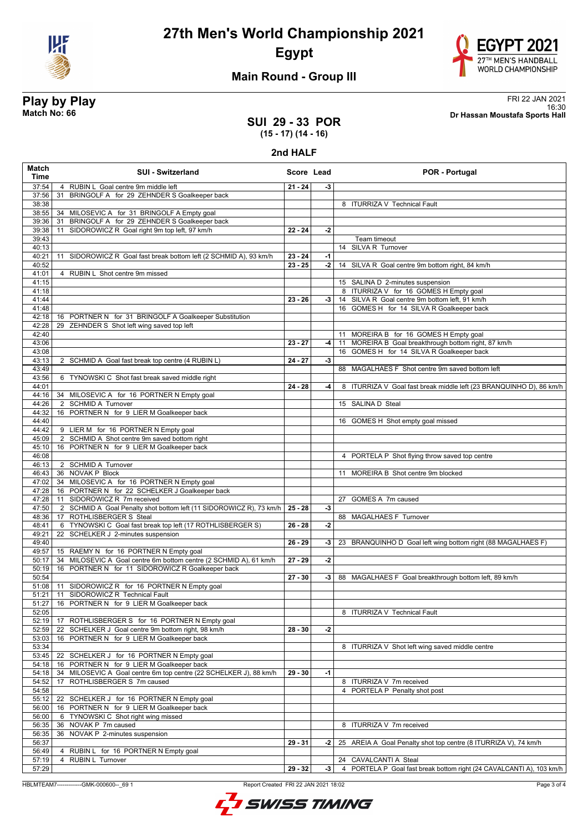



## **Main Round - Group III**

## **SUI 29 - 33 POR**

**Play by Play**<br>Match No: 66<br>Dr Hassan Moustafa Sports Hall 16:30 **Match No: 66 Dr Hassan Moustafa Sports Hall**

## **(15 - 17) (14 - 16)**

#### **2nd HALF**

| Match<br><b>Time</b> | <b>SUI - Switzerland</b>                                                                                | Score Lead |      | <b>POR - Portugal</b>                                                                       |
|----------------------|---------------------------------------------------------------------------------------------------------|------------|------|---------------------------------------------------------------------------------------------|
| 37:54                | 4 RUBIN L Goal centre 9m middle left                                                                    | $21 - 24$  | -3   |                                                                                             |
| 37:56                | BRINGOLF A for 29 ZEHNDER S Goalkeeper back<br>31                                                       |            |      |                                                                                             |
| 38:38                |                                                                                                         |            |      | 8 ITURRIZA V Technical Fault                                                                |
| 38:55                | 34 MILOSEVIC A for 31 BRINGOLF A Empty goal                                                             |            |      |                                                                                             |
| 39:36<br>39:38       | BRINGOLF A for 29 ZEHNDER S Goalkeeper back<br>31<br>SIDOROWICZ R Goal right 9m top left, 97 km/h<br>11 | $22 - 24$  |      |                                                                                             |
| 39:43                |                                                                                                         |            | -2   | Team timeout                                                                                |
| 40:13                |                                                                                                         |            |      | 14 SILVA R Turnover                                                                         |
| 40:21                | SIDOROWICZ R Goal fast break bottom left (2 SCHMID A), 93 km/h<br>11                                    | $23 - 24$  | $-1$ |                                                                                             |
| 40:52                |                                                                                                         | $23 - 25$  | $-2$ | 14 SILVA R Goal centre 9m bottom right, 84 km/h                                             |
| 41:01                | 4 RUBIN L Shot centre 9m missed                                                                         |            |      |                                                                                             |
| 41:15                |                                                                                                         |            |      | 15 SALINA D 2-minutes suspension                                                            |
| 41:18                |                                                                                                         |            |      | 8 ITURRIZA V for 16 GOMES H Empty goal                                                      |
| 41:44<br>41:48       |                                                                                                         | $23 - 26$  | $-3$ | 14 SILVA R Goal centre 9m bottom left, 91 km/h<br>16 GOMES H for 14 SILVA R Goalkeeper back |
| 42:18                | 16 PORTNER N for 31 BRINGOLF A Goalkeeper Substitution                                                  |            |      |                                                                                             |
| 42:28                | ZEHNDER S Shot left wing saved top left<br>29                                                           |            |      |                                                                                             |
| 42:40                |                                                                                                         |            |      | 11 MOREIRA B for 16 GOMES H Empty goal                                                      |
| 43:06                |                                                                                                         | $23 - 27$  | -4   | 11 MOREIRA B Goal breakthrough bottom right, 87 km/h                                        |
| 43:08                |                                                                                                         |            |      | 16 GOMES H for 14 SILVA R Goalkeeper back                                                   |
| 43:13                | 2 SCHMID A Goal fast break top centre (4 RUBIN L)                                                       | $24 - 27$  | $-3$ |                                                                                             |
| 43:49                |                                                                                                         |            |      | 88 MAGALHAES F Shot centre 9m saved bottom left                                             |
| 43:56                | 6 TYNOWSKI C Shot fast break saved middle right                                                         |            |      |                                                                                             |
| 44:01<br>44:16       | 34 MILOSEVIC A for 16 PORTNER N Empty goal                                                              | $24 - 28$  | -4   | 8 ITURRIZA V Goal fast break middle left (23 BRANQUINHO D), 86 km/h                         |
| 44:26                | 2 SCHMID A Turnover                                                                                     |            |      | 15 SALINA D Steal                                                                           |
| 44:32                | 16 PORTNER N for 9 LIER M Goalkeeper back                                                               |            |      |                                                                                             |
| 44:40                |                                                                                                         |            |      | 16 GOMES H Shot empty goal missed                                                           |
| 44:42                | 9 LIER M for 16 PORTNER N Empty goal                                                                    |            |      |                                                                                             |
| 45:09                | 2 SCHMID A Shot centre 9m saved bottom right                                                            |            |      |                                                                                             |
| 45:10                | 16 PORTNER N for 9 LIER M Goalkeeper back                                                               |            |      |                                                                                             |
| 46:08                |                                                                                                         |            |      | 4 PORTELA P Shot flying throw saved top centre                                              |
| 46:13<br>46:43       | 2 SCHMID A Turnover<br>36 NOVAK P Block                                                                 |            |      | MOREIRA B Shot centre 9m blocked<br>11                                                      |
| 47:02                | 34 MILOSEVIC A for 16 PORTNER N Empty goal                                                              |            |      |                                                                                             |
| 47:28                | 16 PORTNER N for 22 SCHELKER J Goalkeeper back                                                          |            |      |                                                                                             |
| 47:28                | 11 SIDOROWICZ R 7m received                                                                             |            |      | 27 GOMES A 7m caused                                                                        |
| 47:50                | 2 SCHMID A Goal Penalty shot bottom left (11 SIDOROWICZ R), 73 km/h                                     | $25 - 28$  | $-3$ |                                                                                             |
| 48:36                | ROTHLISBERGER S Steal<br>17                                                                             |            |      | 88 MAGALHAES F Turnover                                                                     |
| 48:41                | 6 TYNOWSKI C Goal fast break top left (17 ROTHLISBERGER S)                                              | $26 - 28$  | -2   |                                                                                             |
| 49:21                | 22 SCHELKER J 2-minutes suspension                                                                      |            |      |                                                                                             |
| 49:40<br>49:57       | 15 RAEMY N for 16 PORTNER N Empty goal                                                                  | $26 - 29$  | -3   | 23 BRANQUINHO D Goal left wing bottom right (88 MAGALHAES F)                                |
| 50:17                | 34 MILOSEVIC A Goal centre 6m bottom centre (2 SCHMID A), 61 km/h                                       | $27 - 29$  | $-2$ |                                                                                             |
| 50:19                | 16 PORTNER N for 11 SIDOROWICZ R Goalkeeper back                                                        |            |      |                                                                                             |
| 50:54                |                                                                                                         | $27 - 30$  | -3   | 88 MAGALHAES F Goal breakthrough bottom left, 89 km/h                                       |
| 51:08                | 11 SIDOROWICZ R for 16 PORTNER N Empty goal                                                             |            |      |                                                                                             |
| 51:21                | SIDOROWICZ R Technical Fault<br>11                                                                      |            |      |                                                                                             |
| 51:27                | 16 PORTNER N for 9 LIER M Goalkeeper back                                                               |            |      |                                                                                             |
| 52:05                |                                                                                                         |            |      | 8 ITURRIZA V Technical Fault                                                                |
| 52:19<br>52:59       | 17 ROTHLISBERGER S for 16 PORTNER N Empty goal<br>22 SCHELKER J Goal centre 9m bottom right, 98 km/h    | $28 - 30$  | -2   |                                                                                             |
| 53:03                | 16 PORTNER N for 9 LIER M Goalkeeper back                                                               |            |      |                                                                                             |
| 53:34                |                                                                                                         |            |      | 8 ITURRIZA V Shot left wing saved middle centre                                             |
| 53:45                | 22 SCHELKER J for 16 PORTNER N Empty goal                                                               |            |      |                                                                                             |
| 54:18                | 16 PORTNER N for 9 LIER M Goalkeeper back                                                               |            |      |                                                                                             |
| 54:18                | MILOSEVIC A Goal centre 6m top centre (22 SCHELKER J), 88 km/h<br>34                                    | $29 - 30$  | $-1$ |                                                                                             |
| 54:52                | ROTHLISBERGER S 7m caused<br>17                                                                         |            |      | 8 ITURRIZA V 7m received                                                                    |
| 54:58                |                                                                                                         |            |      | 4 PORTELA P Penalty shot post                                                               |
| 55:12                | 22 SCHELKER J for 16 PORTNER N Empty goal                                                               |            |      |                                                                                             |
| 56:00                | 16 PORTNER N for 9 LIER M Goalkeeper back                                                               |            |      |                                                                                             |
| 56:00<br>56:35       | TYNOWSKI C Shot right wing missed<br>6<br>NOVAK P 7m caused<br>36                                       |            |      | 8 ITURRIZA V 7m received                                                                    |
| 56:35                | 36<br>NOVAK P 2-minutes suspension                                                                      |            |      |                                                                                             |
| 56:37                |                                                                                                         | 29 - 31    | -2   | 25 AREIA A Goal Penalty shot top centre (8 ITURRIZA V), 74 km/h                             |
| 56:49                | 4 RUBIN L for 16 PORTNER N Empty goal                                                                   |            |      |                                                                                             |
| 57:19                | 4 RUBIN L Turnover                                                                                      |            |      | 24 CAVALCANTI A Steal                                                                       |
| 57:29                |                                                                                                         | $29 - 32$  | $-3$ | 4 PORTELA P Goal fast break bottom right (24 CAVALCANTI A), 103 km/h                        |